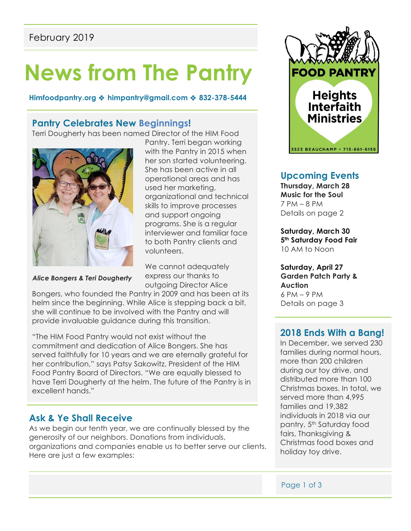# **News from The Pantry**

**Himfoodpantry.org** ! **himpantry@gmail.com** ! **832-378-5444**

### **Pantry Celebrates New Beginnings!**

Terri Dougherty has been named Director of the HIM Food



*Alice Bongers & Teri Dougherty*

Pantry. Terri began working with the Pantry in 2015 when her son started volunteering. She has been active in all operational areas and has used her marketing, organizational and technical skills to improve processes and support ongoing programs. She is a regular interviewer and familiar face to both Pantry clients and volunteers.

We cannot adequately express our thanks to outgoing Director Alice

Bongers, who founded the Pantry in 2009 and has been at its helm since the beginning. While Alice is stepping back a bit, she will continue to be involved with the Pantry and will **A**provide invaluable guidance during this transition.

"The HIM Food Pantry would not exist without the commitment and dedication of Alice Bongers. She has served faithfully for 10 years and we are eternally grateful for her contribution," says Patsy Sakowitz, President of the HIM Food Pantry Board of Directors. "We are equally blessed to have Terri Dougherty at the helm. The future of the Pantry is in excellent hands."

# **Ask & Ye Shall Receive**

As we begin our tenth year, we are continually blessed by the generosity of our neighbors. Donations from individuals, organizations and companies enable us to better serve our clients. Here are just a few examples:



# **Upcoming Events**

**Thursday, March 28 Music for the Soul**  7 PM – 8 PM Details on page 2

**Saturday, March 30 5th Saturday Food Fair**  10 AM to Noon

**Saturday, April 27 Garden Patch Party & Auction** 6 PM – 9 PM Details on page 3

# **2018 Ends With a Bang!**

In December, we served 230 families during normal hours, more than 200 children during our toy drive, and distributed more than 100 Christmas boxes. In total, we served more than 4,995 families and 19,382 individuals in 2018 via our pantry, 5th Saturday food fairs, Thanksgiving & Christmas food boxes and holiday toy drive.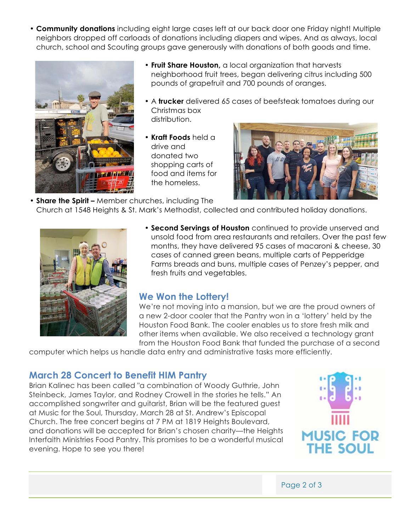• **Community donations** including eight large cases left at our back door one Friday night! Multiple neighbors dropped off carloads of donations including diapers and wipes. And as always, local church, school and Scouting groups gave generously with donations of both goods and time.



- **Fruit Share Houston,** a local organization that harvests neighborhood fruit trees, began delivering citrus including 500 pounds of grapefruit and 700 pounds of oranges.
- A **trucker** delivered 65 cases of beefsteak tomatoes during our Christmas box distribution.
- **Kraft Foods** held a drive and donated two shopping carts of food and items for the homeless.



• **Share the Spirit –** Member churches, including The Church at 1548 Heights & St. Mark's Methodist, collected and contributed holiday donations.



• **Second Servings of Houston** continued to provide unserved and unsold food from area restaurants and retailers. Over the past few months, they have delivered 95 cases of macaroni & cheese, 30 cases of canned green beans, multiple carts of Pepperidge Farms breads and buns, multiple cases of Penzey's pepper, and fresh fruits and vegetables.

# **We Won the Lottery!**

We're not moving into a mansion, but we are the proud owners of a new 2-door cooler that the Pantry won in a 'lottery' held by the Houston Food Bank. The cooler enables us to store fresh milk and other items when available. We also received a technology grant from the Houston Food Bank that funded the purchase of a second

computer which helps us handle data entry and administrative tasks more efficiently.

# **March 28 Concert to Benefit HIM Pantry**

Brian Kalinec has been called "a combination of Woody Guthrie, John Steinbeck, James Taylor, and Rodney Crowell in the stories he tells." An accomplished songwriter and guitarist, Brian will be the featured guest at Music for the Soul, Thursday, March 28 at St. Andrew's Episcopal Church. The free concert begins at 7 PM at 1819 Heights Boulevard, and donations will be accepted for Brian's chosen charity—the Heights Interfaith Ministries Food Pantry. This promises to be a wonderful musical evening. Hope to see you there!